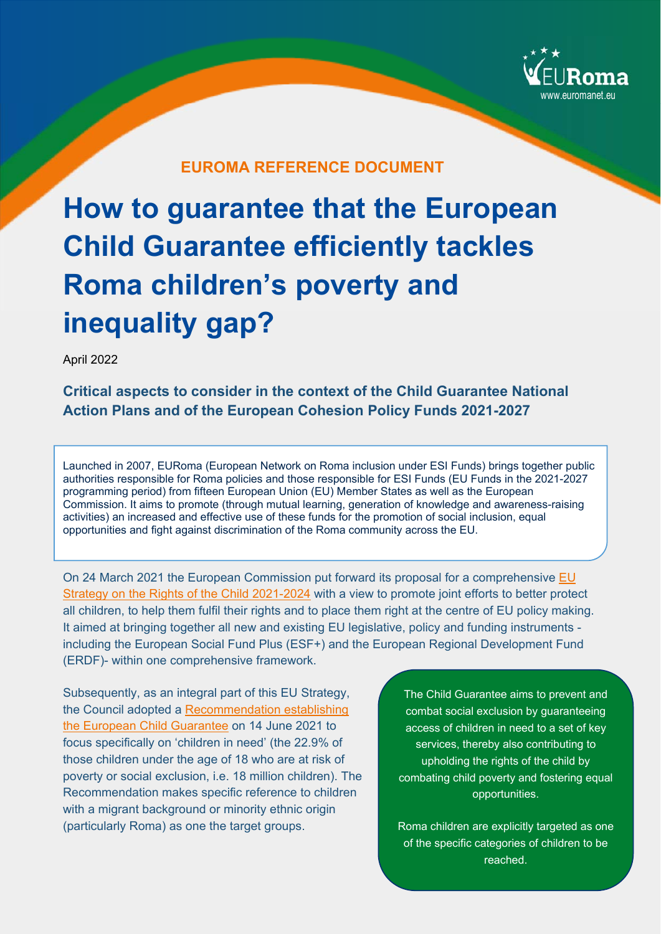

## **EUROMA REFERENCE DOCUMENT**

# **How to guarantee that the European Child Guarantee efficiently tackles Roma children's poverty and inequality gap?**

April 2022

**Critical aspects to consider in the context of the Child Guarantee National Action Plans and of the European Cohesion Policy Funds 2021-2027** 

Launched in 2007, EURoma (European Network on Roma inclusion under ESI Funds) brings together public authorities responsible for Roma policies and those responsible for ESI Funds (EU Funds in the 2021-2027 programming period) from fifteen European Union (EU) Member States as well as the European Commission. It aims to promote (through mutual learning, generation of knowledge and awareness-raising activities) an increased and effective use of these funds for the promotion of social inclusion, equal opportunities and fight against discrimination of the Roma community across the EU.

On 24 March 2021 the European Commission put forward its proposal for a comprehensive EU Strategy on the Rights of the Child 2021-2024 with a view to promote joint efforts to better protect all children, to help them fulfil their rights and to place them right at the centre of EU policy making. It aimed at bringing together all new and existing EU legislative, policy and funding instruments including the European Social Fund Plus (ESF+) and the European Regional Development Fund (ERDF)- within one comprehensive framework.

Subsequently, as an integral part of this EU Strategy, the Council adopted a Recommendation establishing the European Child Guarantee on 14 June 2021 to focus specifically on 'children in need' (the 22.9% of those children under the age of 18 who are at risk of poverty or social exclusion, i.e. 18 million children). The Recommendation makes specific reference to children with a migrant background or minority ethnic origin (particularly Roma) as one the target groups.

The Child Guarantee aims to prevent and combat social exclusion by guaranteeing access of children in need to a set of key services, thereby also contributing to upholding the rights of the child by combating child poverty and fostering equal opportunities.

of the specific categories of children to be Roma children are explicitly targeted as one reached.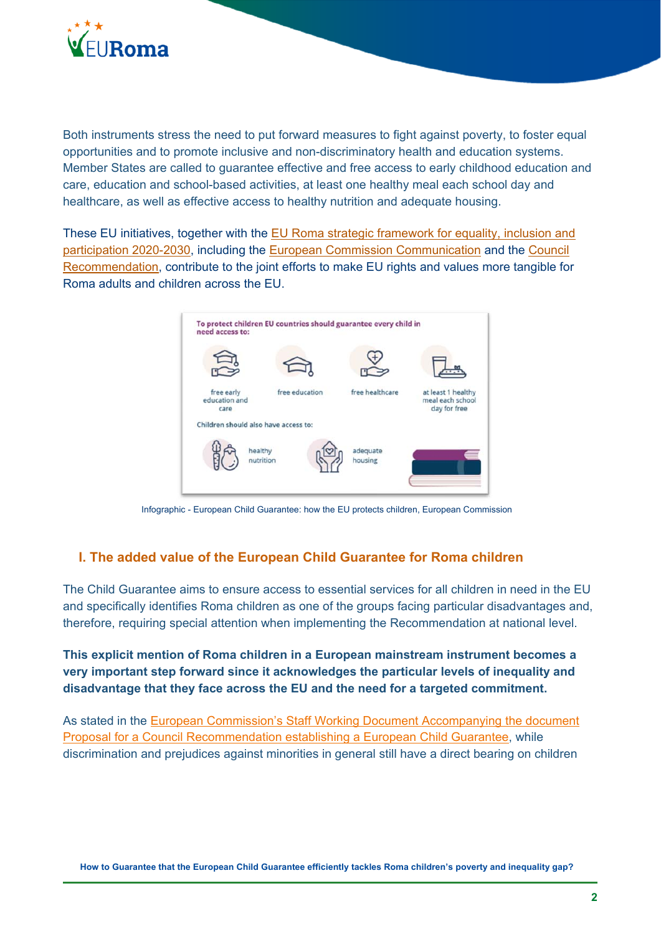

Both instruments stress the need to put forward measures to fight against poverty, to foster equal opportunities and to promote inclusive and non-discriminatory health and education systems. Member States are called to guarantee effective and free access to early childhood education and care, education and school-based activities, at least one healthy meal each school day and healthcare, as well as effective access to healthy nutrition and adequate housing.

These EU initiatives, together with the EU Roma strategic framework for equality, inclusion and participation 2020-2030, including the European Commission Communication and the Council Recommendation, contribute to the joint efforts to make EU rights and values more tangible for Roma adults and children across the EU.



Infographic - European Child Guarantee: how the EU protects children, European Commission

## **I. The added value of the European Child Guarantee for Roma children**

The Child Guarantee aims to ensure access to essential services for all children in need in the EU and specifically identifies Roma children as one of the groups facing particular disadvantages and, therefore, requiring special attention when implementing the Recommendation at national level.

**This explicit mention of Roma children in a European mainstream instrument becomes a very important step forward since it acknowledges the particular levels of inequality and disadvantage that they face across the EU and the need for a targeted commitment.** 

As stated in the European Commission's Staff Working Document Accompanying the document Proposal for a Council Recommendation establishing a European Child Guarantee, while discrimination and prejudices against minorities in general still have a direct bearing on children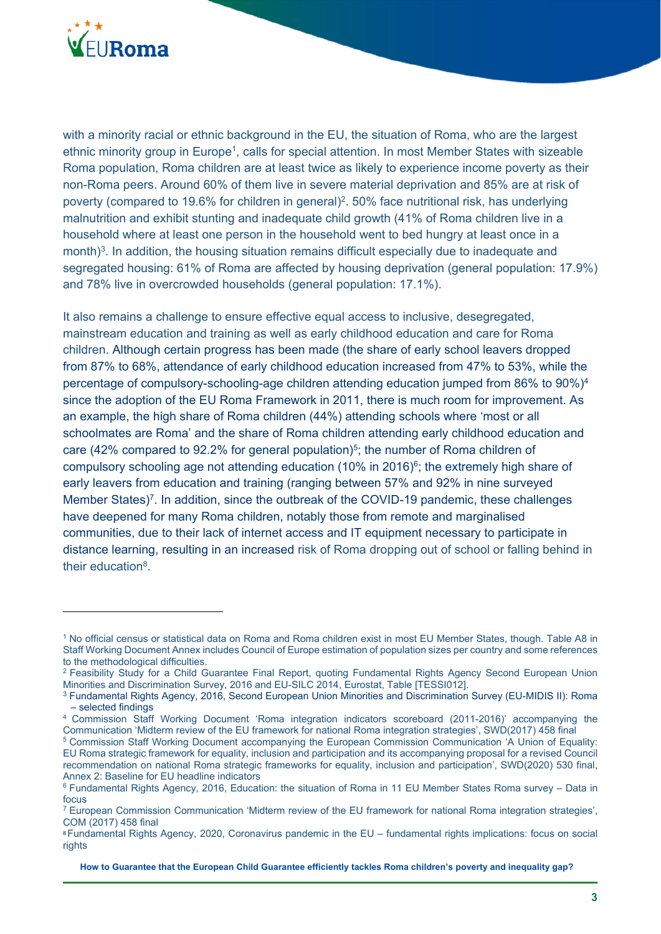

with a minority racial or ethnic background in the EU, the situation of Roma, who are the largest ethnic minority group in Europe<sup>1</sup>, calls for special attention. In most Member States with sizeable Roma population, Roma children are at least twice as likely to experience income poverty as their non-Roma peers. Around 60% of them live in severe material deprivation and 85% are at risk of poverty (compared to 19.6% for children in general)<sup>2</sup>, 50% face nutritional risk, has underlying malnutrition and exhibit stunting and inadequate child growth (41% of Roma children live in a household where at least one person in the household went to bed hungry at least once in a month)<sup>3</sup>. In addition, the housing situation remains difficult especially due to inadequate and segregated housing: 61% of Roma are affected by housing deprivation (general population: 17.9%) and 78% live in overcrowded households (general population: 17.1%).

It also remains a challenge to ensure effective equal access to inclusive, desegregated, mainstream education and training as well as early childhood education and care for Roma children. Although certain progress has been made (the share of early school leavers dropped from 87% to 68%, attendance of early childhood education increased from 47% to 53%, while the percentage of compulsory-schooling-age children attending education jumped from 86% to 90%)4 since the adoption of the EU Roma Framework in 2011, there is much room for improvement. As an example, the high share of Roma children (44%) attending schools where 'most or all schoolmates are Roma' and the share of Roma children attending early childhood education and care (42% compared to 92.2% for general population)<sup>5</sup>; the number of Roma children of compulsory schooling age not attending education (10% in 2016)<sup>6</sup>; the extremely high share of early leavers from education and training (ranging between 57% and 92% in nine surveyed Member States)<sup>7</sup>. In addition, since the outbreak of the COVID-19 pandemic, these challenges have deepened for many Roma children, notably those from remote and marginalised communities, due to their lack of internet access and IT equipment necessary to participate in distance learning, resulting in an increased risk of Roma dropping out of school or falling behind in their education8.

<sup>1</sup> No official census or statistical data on Roma and Roma children exist in most EU Member States, though. Table A8 in Staff Working Document Annex includes Council of Europe estimation of population sizes per country and some references to the methodological difficulties.<br><sup>2</sup> Feasibility Study for a Child Guarantee Final Report, quoting Fundamental Rights Agency Second European Union

Minorities and Discrimination Survey, 2016 and EU-SILC 2014, Eurostat, Table [TESSI012].<br><sup>3</sup> Fundamental Rights Agency, 2016, Second European Union Minorities and Discrimination Survey (EU-MIDIS II): Roma

<sup>–</sup> selected findings

<sup>4</sup> Commission Staff Working Document 'Roma integration indicators scoreboard (2011-2016)' accompanying the Communication 'Midterm review of the EU framework for national Roma integration strategies', SWD(2017) 458 final<br><sup>5</sup> Commission Staff Working Document accompanying the European Commission Communication 'A Union of Equality

EU Roma strategic framework for equality, inclusion and participation and its accompanying proposal for a revised Council recommendation on national Roma strategic frameworks for equality, inclusion and participation', SWD(2020) 530 final, Annex 2: Baseline for EU headline indicators

<sup>6</sup> Fundamental Rights Agency, 2016, Education: the situation of Roma in 11 EU Member States Roma survey – Data in focus

<sup>7</sup> European Commission Communication 'Midterm review of the EU framework for national Roma integration strategies', COM (2017) 458 final

<sup>8</sup> Fundamental Rights Agency, 2020, Coronavirus pandemic in the EU – fundamental rights implications: focus on social rights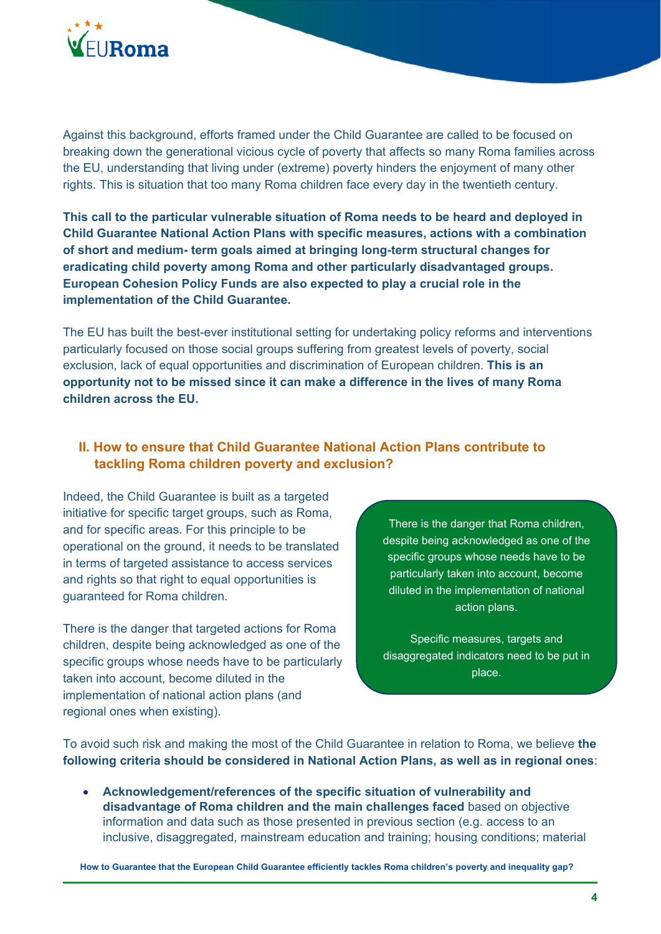

Against this background, efforts framed under the Child Guarantee are called to be focused on breaking down the generational vicious cycle of poverty that affects so many Roma families across the EU, understanding that living under (extreme) poverty hinders the enjoyment of many other rights. This is situation that too many Roma children face every day in the twentieth century.

**This call to the particular vulnerable situation of Roma needs to be heard and deployed in Child Guarantee National Action Plans with specific measures, actions with a combination of short and medium- term goals aimed at bringing long-term structural changes for eradicating child poverty among Roma and other particularly disadvantaged groups. European Cohesion Policy Funds are also expected to play a crucial role in the implementation of the Child Guarantee.** 

The EU has built the best-ever institutional setting for undertaking policy reforms and interventions particularly focused on those social groups suffering from greatest levels of poverty, social exclusion, lack of equal opportunities and discrimination of European children. **This is an opportunity not to be missed since it can make a difference in the lives of many Roma children across the EU.** 

## **II. How to ensure that Child Guarantee National Action Plans contribute to tackling Roma children poverty and exclusion?**

Indeed, the Child Guarantee is built as a targeted initiative for specific target groups, such as Roma, and for specific areas. For this principle to be operational on the ground, it needs to be translated in terms of targeted assistance to access services and rights so that right to equal opportunities is guaranteed for Roma children.

There is the danger that targeted actions for Roma children, despite being acknowledged as one of the specific groups whose needs have to be particularly taken into account, become diluted in the implementation of national action plans (and regional ones when existing).

There is the danger that Roma children, despite being acknowledged as one of the specific groups whose needs have to be particularly taken into account, become diluted in the implementation of national action plans.

Specific measures, targets and disaggregated indicators need to be put in place.

To avoid such risk and making the most of the Child Guarantee in relation to Roma, we believe **the following criteria should be considered in National Action Plans, as well as in regional ones**:

 **Acknowledgement/references of the specific situation of vulnerability and disadvantage of Roma children and the main challenges faced** based on objective information and data such as those presented in previous section (e.g. access to an inclusive, disaggregated, mainstream education and training; housing conditions; material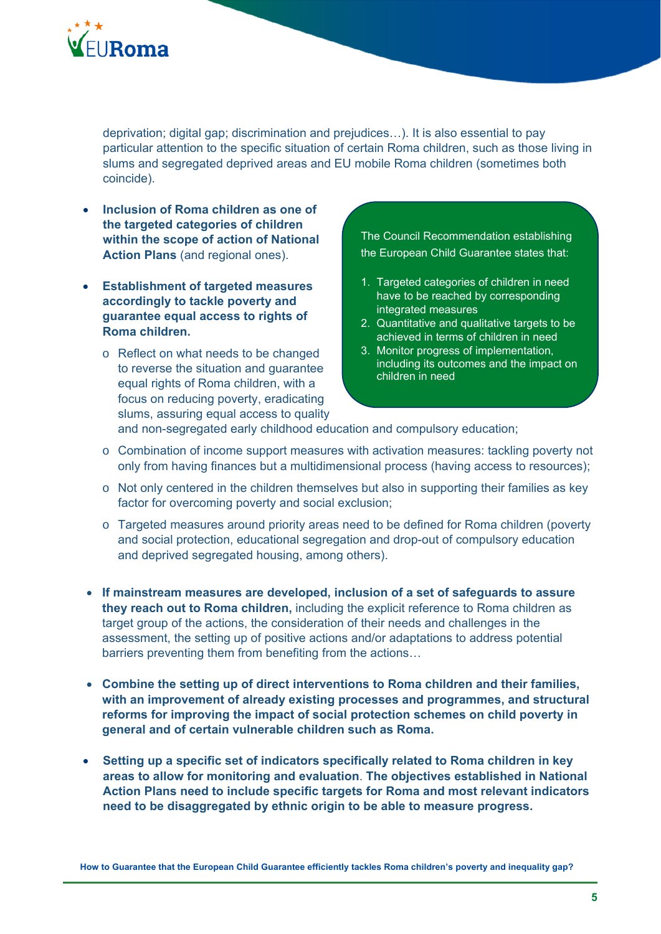

deprivation; digital gap; discrimination and prejudices…). It is also essential to pay particular attention to the specific situation of certain Roma children, such as those living in slums and segregated deprived areas and EU mobile Roma children (sometimes both coincide).

- **Inclusion of Roma children as one of the targeted categories of children within the scope of action of National Action Plans** (and regional ones).
- **Establishment of targeted measures accordingly to tackle poverty and guarantee equal access to rights of Roma children.** 
	- o Reflect on what needs to be changed to reverse the situation and guarantee equal rights of Roma children, with a focus on reducing poverty, eradicating slums, assuring equal access to quality

The Council Recommendation establishing the European Child Guarantee states that:

- 1. Targeted categories of children in need have to be reached by corresponding integrated measures
- 2. Quantitative and qualitative targets to be achieved in terms of children in need
- 3. Monitor progress of implementation, including its outcomes and the impact on children in need

and non-segregated early childhood education and compulsory education;

- o Combination of income support measures with activation measures: tackling poverty not only from having finances but a multidimensional process (having access to resources);
- o Not only centered in the children themselves but also in supporting their families as key factor for overcoming poverty and social exclusion;
- o Targeted measures around priority areas need to be defined for Roma children (poverty and social protection, educational segregation and drop-out of compulsory education and deprived segregated housing, among others).
- **If mainstream measures are developed, inclusion of a set of safeguards to assure they reach out to Roma children,** including the explicit reference to Roma children as target group of the actions, the consideration of their needs and challenges in the assessment, the setting up of positive actions and/or adaptations to address potential barriers preventing them from benefiting from the actions…
- **Combine the setting up of direct interventions to Roma children and their families, with an improvement of already existing processes and programmes, and structural reforms for improving the impact of social protection schemes on child poverty in general and of certain vulnerable children such as Roma.**
- **Setting up a specific set of indicators specifically related to Roma children in key areas to allow for monitoring and evaluation**. **The objectives established in National Action Plans need to include specific targets for Roma and most relevant indicators need to be disaggregated by ethnic origin to be able to measure progress.**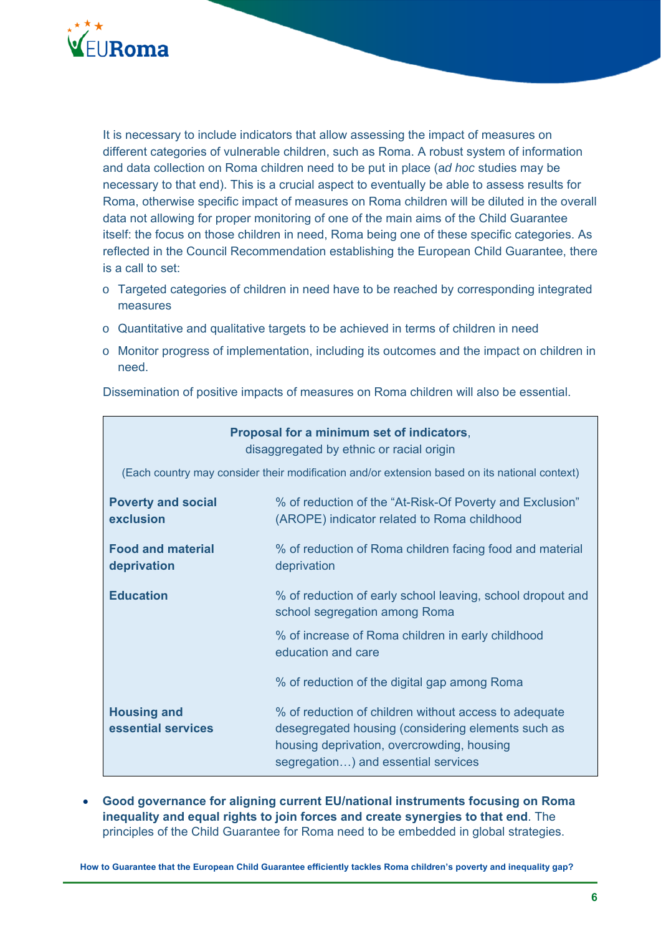

It is necessary to include indicators that allow assessing the impact of measures on different categories of vulnerable children, such as Roma. A robust system of information and data collection on Roma children need to be put in place (a*d hoc* studies may be necessary to that end). This is a crucial aspect to eventually be able to assess results for Roma, otherwise specific impact of measures on Roma children will be diluted in the overall data not allowing for proper monitoring of one of the main aims of the Child Guarantee itself: the focus on those children in need, Roma being one of these specific categories. As reflected in the Council Recommendation establishing the European Child Guarantee, there is a call to set:

- o Targeted categories of children in need have to be reached by corresponding integrated measures
- o Quantitative and qualitative targets to be achieved in terms of children in need
- o Monitor progress of implementation, including its outcomes and the impact on children in need.

Dissemination of positive impacts of measures on Roma children will also be essential.

| Proposal for a minimum set of indicators,<br>disaggregated by ethnic or racial origin         |                                                                                                                                                                                                  |  |  |
|-----------------------------------------------------------------------------------------------|--------------------------------------------------------------------------------------------------------------------------------------------------------------------------------------------------|--|--|
| (Each country may consider their modification and/or extension based on its national context) |                                                                                                                                                                                                  |  |  |
| <b>Poverty and social</b><br>exclusion                                                        | % of reduction of the "At-Risk-Of Poverty and Exclusion"<br>(AROPE) indicator related to Roma childhood                                                                                          |  |  |
| <b>Food and material</b><br>deprivation                                                       | % of reduction of Roma children facing food and material<br>deprivation                                                                                                                          |  |  |
| <b>Education</b>                                                                              | % of reduction of early school leaving, school dropout and<br>school segregation among Roma                                                                                                      |  |  |
|                                                                                               | % of increase of Roma children in early childhood<br>education and care                                                                                                                          |  |  |
|                                                                                               | % of reduction of the digital gap among Roma                                                                                                                                                     |  |  |
| <b>Housing and</b><br>essential services                                                      | % of reduction of children without access to adequate<br>desegregated housing (considering elements such as<br>housing deprivation, overcrowding, housing<br>segregation) and essential services |  |  |

 **Good governance for aligning current EU/national instruments focusing on Roma inequality and equal rights to join forces and create synergies to that end**. The principles of the Child Guarantee for Roma need to be embedded in global strategies.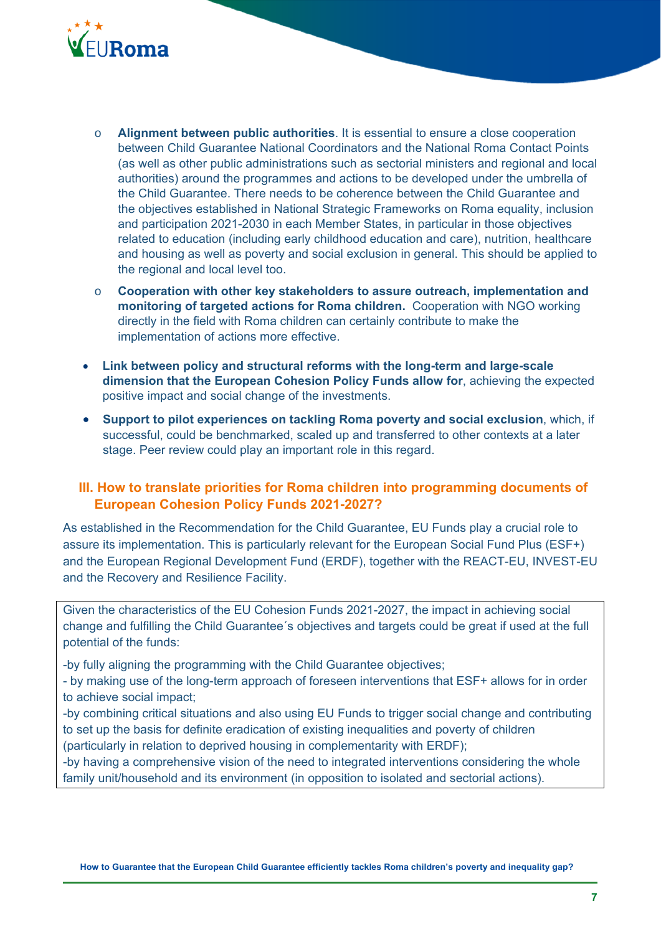

- o **Alignment between public authorities**. It is essential to ensure a close cooperation between Child Guarantee National Coordinators and the National Roma Contact Points (as well as other public administrations such as sectorial ministers and regional and local authorities) around the programmes and actions to be developed under the umbrella of the Child Guarantee. There needs to be coherence between the Child Guarantee and the objectives established in National Strategic Frameworks on Roma equality, inclusion and participation 2021-2030 in each Member States, in particular in those objectives related to education (including early childhood education and care), nutrition, healthcare and housing as well as poverty and social exclusion in general. This should be applied to the regional and local level too.
- o **Cooperation with other key stakeholders to assure outreach, implementation and monitoring of targeted actions for Roma children.** Cooperation with NGO working directly in the field with Roma children can certainly contribute to make the implementation of actions more effective.
- **Link between policy and structural reforms with the long-term and large-scale dimension that the European Cohesion Policy Funds allow for**, achieving the expected positive impact and social change of the investments.
- **Support to pilot experiences on tackling Roma poverty and social exclusion**, which, if successful, could be benchmarked, scaled up and transferred to other contexts at a later stage. Peer review could play an important role in this regard.

## **III. How to translate priorities for Roma children into programming documents of European Cohesion Policy Funds 2021-2027?**

As established in the Recommendation for the Child Guarantee, EU Funds play a crucial role to assure its implementation. This is particularly relevant for the European Social Fund Plus (ESF+) and the European Regional Development Fund (ERDF), together with the REACT-EU, INVEST-EU and the Recovery and Resilience Facility.

Given the characteristics of the EU Cohesion Funds 2021-2027, the impact in achieving social change and fulfilling the Child Guarantee´s objectives and targets could be great if used at the full potential of the funds:

-by fully aligning the programming with the Child Guarantee objectives;

- by making use of the long-term approach of foreseen interventions that ESF+ allows for in order to achieve social impact;

-by combining critical situations and also using EU Funds to trigger social change and contributing to set up the basis for definite eradication of existing inequalities and poverty of children

(particularly in relation to deprived housing in complementarity with ERDF);

-by having a comprehensive vision of the need to integrated interventions considering the whole family unit/household and its environment (in opposition to isolated and sectorial actions).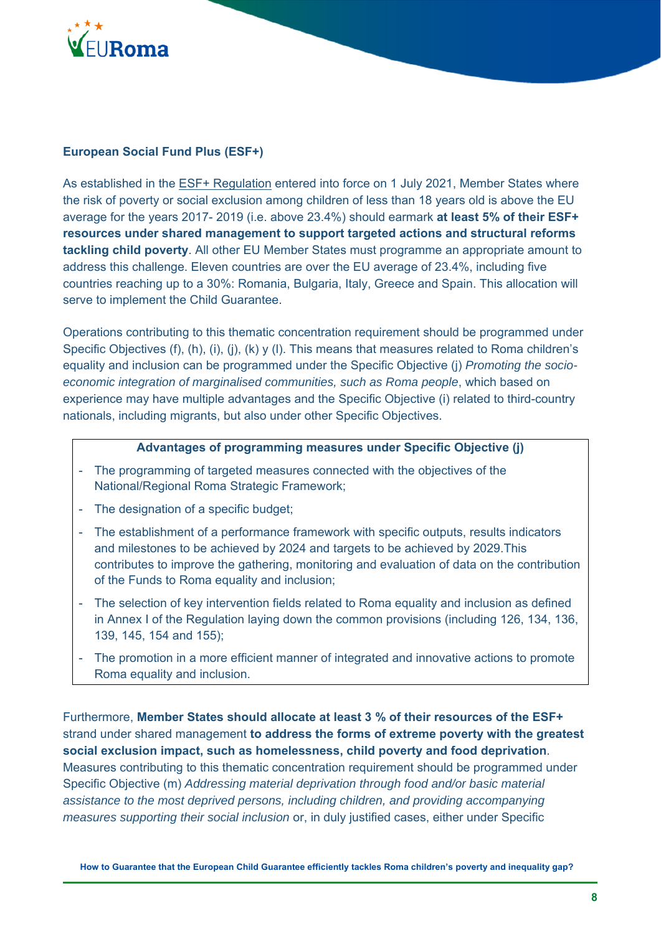

## **European Social Fund Plus (ESF+)**

As established in the ESF+ Regulation entered into force on 1 July 2021, Member States where the risk of poverty or social exclusion among children of less than 18 years old is above the EU average for the years 2017- 2019 (i.e. above 23.4%) should earmark **at least 5% of their ESF+ resources under shared management to support targeted actions and structural reforms tackling child poverty**. All other EU Member States must programme an appropriate amount to address this challenge. Eleven countries are over the EU average of 23.4%, including five countries reaching up to a 30%: Romania, Bulgaria, Italy, Greece and Spain. This allocation will serve to implement the Child Guarantee.

Operations contributing to this thematic concentration requirement should be programmed under Specific Objectives (f), (h), (i), (j), (k) y (l). This means that measures related to Roma children's equality and inclusion can be programmed under the Specific Objective (j) *Promoting the socioeconomic integration of marginalised communities, such as Roma people*, which based on experience may have multiple advantages and the Specific Objective (i) related to third-country nationals, including migrants, but also under other Specific Objectives.

#### **Advantages of programming measures under Specific Objective (j)**

- The programming of targeted measures connected with the objectives of the National/Regional Roma Strategic Framework;
- The designation of a specific budget;
- The establishment of a performance framework with specific outputs, results indicators and milestones to be achieved by 2024 and targets to be achieved by 2029.This contributes to improve the gathering, monitoring and evaluation of data on the contribution of the Funds to Roma equality and inclusion;
- The selection of key intervention fields related to Roma equality and inclusion as defined in Annex I of the Regulation laying down the common provisions (including 126, 134, 136, 139, 145, 154 and 155);
- The promotion in a more efficient manner of integrated and innovative actions to promote Roma equality and inclusion.

Furthermore, **Member States should allocate at least 3 % of their resources of the ESF+** strand under shared management **to address the forms of extreme poverty with the greatest social exclusion impact, such as homelessness, child poverty and food deprivation**. Measures contributing to this thematic concentration requirement should be programmed under Specific Objective (m) *Addressing material deprivation through food and/or basic material assistance to the most deprived persons, including children, and providing accompanying measures supporting their social inclusion* or, in duly justified cases, either under Specific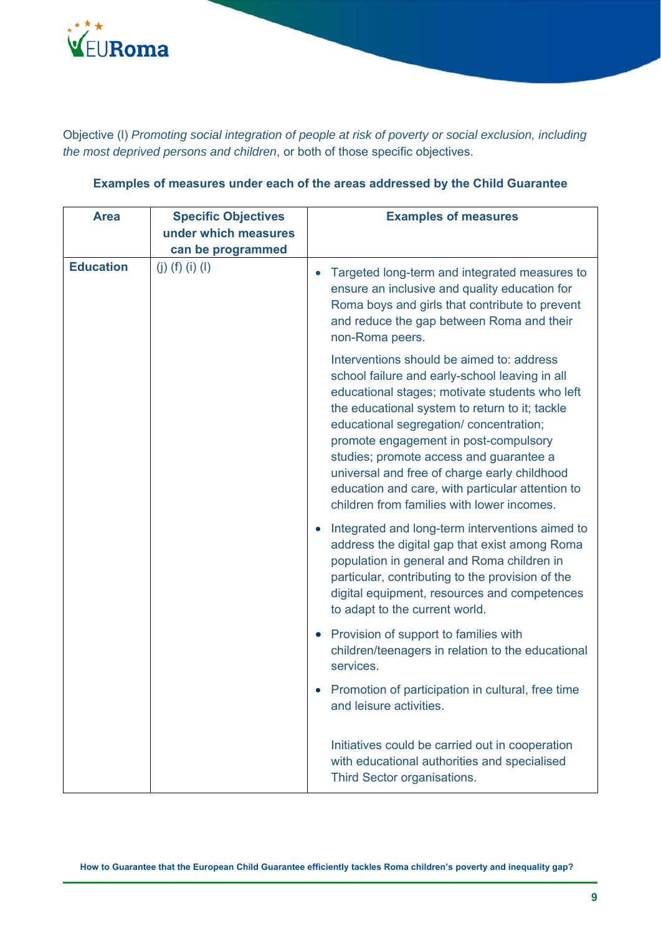

Objective (l) *Promoting social integration of people at risk of poverty or social exclusion, including the most deprived persons and children*, or both of those specific objectives.

| <b>Area</b>      | <b>Specific Objectives</b><br>under which measures<br>can be programmed | <b>Examples of measures</b>                                                                                                                                                                                                                                                                                                                                                                                                                                                      |
|------------------|-------------------------------------------------------------------------|----------------------------------------------------------------------------------------------------------------------------------------------------------------------------------------------------------------------------------------------------------------------------------------------------------------------------------------------------------------------------------------------------------------------------------------------------------------------------------|
| <b>Education</b> | (j) (f) (i) (l)                                                         | Targeted long-term and integrated measures to<br>$\bullet$<br>ensure an inclusive and quality education for<br>Roma boys and girls that contribute to prevent<br>and reduce the gap between Roma and their<br>non-Roma peers.                                                                                                                                                                                                                                                    |
|                  |                                                                         | Interventions should be aimed to: address<br>school failure and early-school leaving in all<br>educational stages; motivate students who left<br>the educational system to return to it; tackle<br>educational segregation/ concentration;<br>promote engagement in post-compulsory<br>studies; promote access and guarantee a<br>universal and free of charge early childhood<br>education and care, with particular attention to<br>children from families with lower incomes. |
|                  |                                                                         | Integrated and long-term interventions aimed to<br>$\bullet$<br>address the digital gap that exist among Roma<br>population in general and Roma children in<br>particular, contributing to the provision of the<br>digital equipment, resources and competences<br>to adapt to the current world.                                                                                                                                                                                |
|                  |                                                                         | Provision of support to families with<br>$\bullet$<br>children/teenagers in relation to the educational<br>services.                                                                                                                                                                                                                                                                                                                                                             |
|                  |                                                                         | Promotion of participation in cultural, free time<br>and leisure activities.                                                                                                                                                                                                                                                                                                                                                                                                     |
|                  |                                                                         | Initiatives could be carried out in cooperation<br>with educational authorities and specialised<br>Third Sector organisations.                                                                                                                                                                                                                                                                                                                                                   |

## **Examples of measures under each of the areas addressed by the Child Guarantee**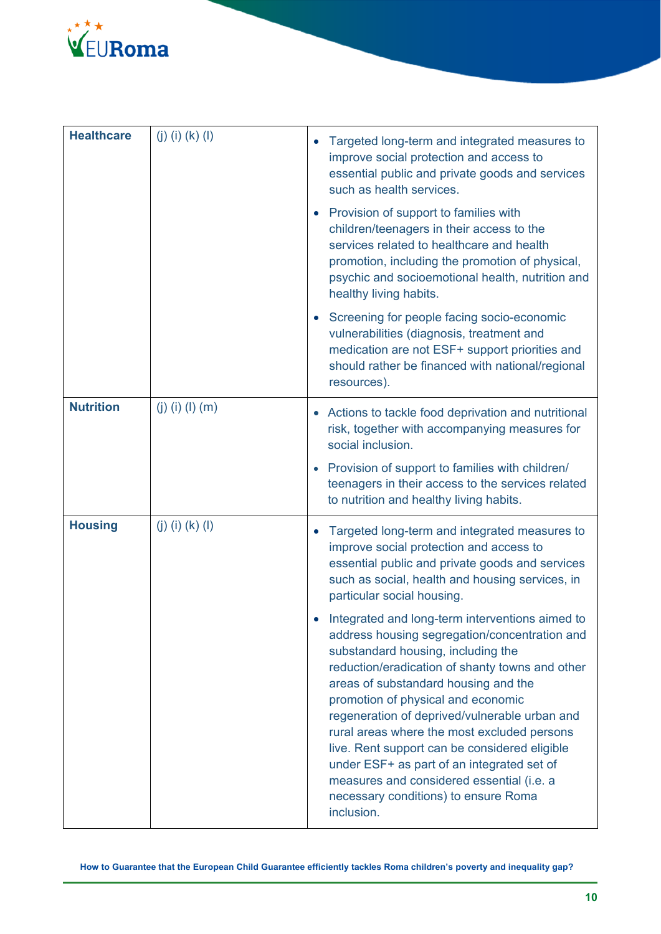

| <b>Healthcare</b> | (j) (i) (k) (l) | $\bullet$ | Targeted long-term and integrated measures to<br>improve social protection and access to<br>essential public and private goods and services<br>such as health services.<br>Provision of support to families with<br>children/teenagers in their access to the<br>services related to healthcare and health<br>promotion, including the promotion of physical,<br>psychic and socioemotional health, nutrition and                                                                                                                                                         |
|-------------------|-----------------|-----------|---------------------------------------------------------------------------------------------------------------------------------------------------------------------------------------------------------------------------------------------------------------------------------------------------------------------------------------------------------------------------------------------------------------------------------------------------------------------------------------------------------------------------------------------------------------------------|
|                   |                 |           | healthy living habits.<br>Screening for people facing socio-economic<br>vulnerabilities (diagnosis, treatment and<br>medication are not ESF+ support priorities and<br>should rather be financed with national/regional<br>resources).                                                                                                                                                                                                                                                                                                                                    |
| <b>Nutrition</b>  | (j) (i) (l) (m) |           | Actions to tackle food deprivation and nutritional<br>risk, together with accompanying measures for<br>social inclusion.<br>• Provision of support to families with children/<br>teenagers in their access to the services related<br>to nutrition and healthy living habits.                                                                                                                                                                                                                                                                                             |
| <b>Housing</b>    | (j) (i) (k) (l) | $\bullet$ | Targeted long-term and integrated measures to<br>improve social protection and access to<br>essential public and private goods and services<br>such as social, health and housing services, in<br>particular social housing.                                                                                                                                                                                                                                                                                                                                              |
|                   |                 |           | Integrated and long-term interventions aimed to<br>address housing segregation/concentration and<br>substandard housing, including the<br>reduction/eradication of shanty towns and other<br>areas of substandard housing and the<br>promotion of physical and economic<br>regeneration of deprived/vulnerable urban and<br>rural areas where the most excluded persons<br>live. Rent support can be considered eligible<br>under ESF+ as part of an integrated set of<br>measures and considered essential (i.e. a<br>necessary conditions) to ensure Roma<br>inclusion. |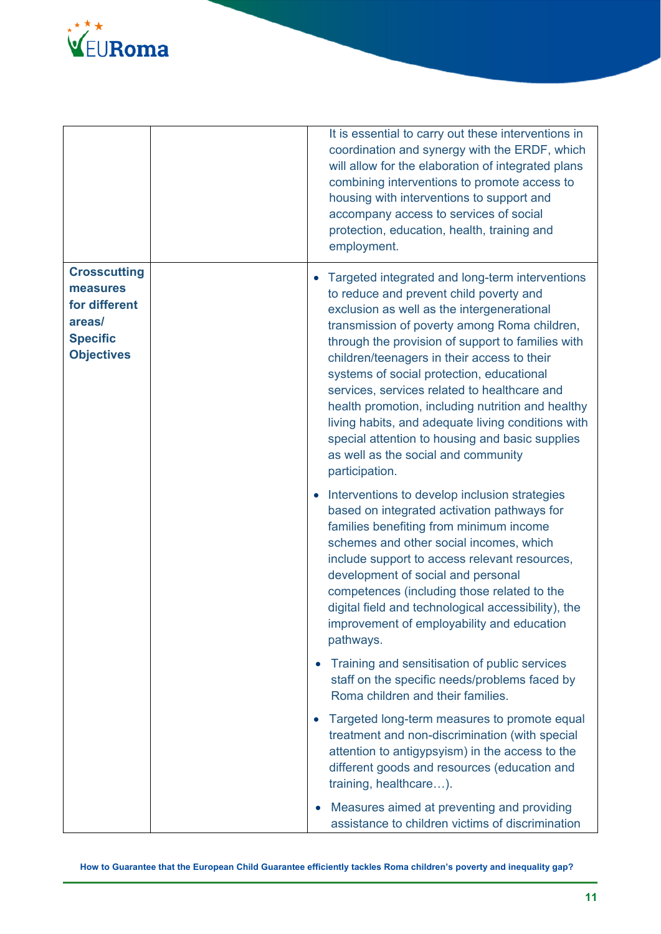

|                                                                                                    | It is essential to carry out these interventions in<br>coordination and synergy with the ERDF, which<br>will allow for the elaboration of integrated plans<br>combining interventions to promote access to<br>housing with interventions to support and<br>accompany access to services of social<br>protection, education, health, training and<br>employment.                                                                                                                                                                                                                                                  |
|----------------------------------------------------------------------------------------------------|------------------------------------------------------------------------------------------------------------------------------------------------------------------------------------------------------------------------------------------------------------------------------------------------------------------------------------------------------------------------------------------------------------------------------------------------------------------------------------------------------------------------------------------------------------------------------------------------------------------|
| <b>Crosscutting</b><br>measures<br>for different<br>areas/<br><b>Specific</b><br><b>Objectives</b> | Targeted integrated and long-term interventions<br>to reduce and prevent child poverty and<br>exclusion as well as the intergenerational<br>transmission of poverty among Roma children,<br>through the provision of support to families with<br>children/teenagers in their access to their<br>systems of social protection, educational<br>services, services related to healthcare and<br>health promotion, including nutrition and healthy<br>living habits, and adequate living conditions with<br>special attention to housing and basic supplies<br>as well as the social and community<br>participation. |
|                                                                                                    | Interventions to develop inclusion strategies<br>based on integrated activation pathways for<br>families benefiting from minimum income<br>schemes and other social incomes, which<br>include support to access relevant resources,<br>development of social and personal<br>competences (including those related to the<br>digital field and technological accessibility), the<br>improvement of employability and education<br>pathways.                                                                                                                                                                       |
|                                                                                                    | Training and sensitisation of public services<br>$\bullet$<br>staff on the specific needs/problems faced by<br>Roma children and their families.                                                                                                                                                                                                                                                                                                                                                                                                                                                                 |
|                                                                                                    | Targeted long-term measures to promote equal<br>$\bullet$<br>treatment and non-discrimination (with special<br>attention to antigypsyism) in the access to the<br>different goods and resources (education and<br>training, healthcare).                                                                                                                                                                                                                                                                                                                                                                         |
|                                                                                                    | Measures aimed at preventing and providing<br>assistance to children victims of discrimination                                                                                                                                                                                                                                                                                                                                                                                                                                                                                                                   |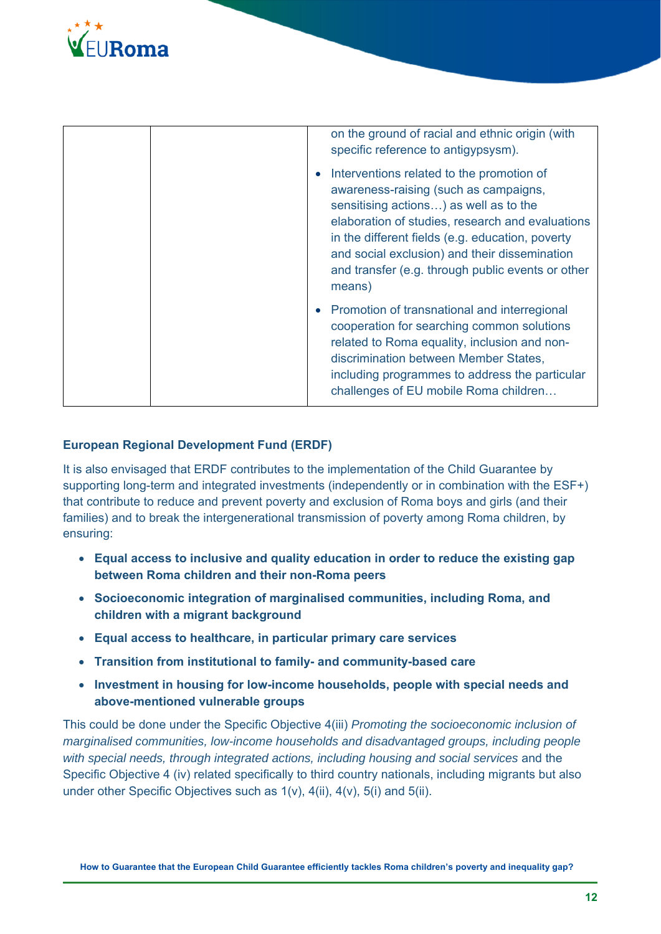

| on the ground of racial and ethnic origin (with<br>specific reference to antigypsysm).                                                                                                                                                                                                                                                                            |
|-------------------------------------------------------------------------------------------------------------------------------------------------------------------------------------------------------------------------------------------------------------------------------------------------------------------------------------------------------------------|
| Interventions related to the promotion of<br>$\bullet$<br>awareness-raising (such as campaigns,<br>sensitising actions) as well as to the<br>elaboration of studies, research and evaluations<br>in the different fields (e.g. education, poverty<br>and social exclusion) and their dissemination<br>and transfer (e.g. through public events or other<br>means) |
| Promotion of transnational and interregional<br>$\bullet$<br>cooperation for searching common solutions<br>related to Roma equality, inclusion and non-<br>discrimination between Member States,<br>including programmes to address the particular<br>challenges of EU mobile Roma children                                                                       |

### **European Regional Development Fund (ERDF)**

It is also envisaged that ERDF contributes to the implementation of the Child Guarantee by supporting long-term and integrated investments (independently or in combination with the ESF+) that contribute to reduce and prevent poverty and exclusion of Roma boys and girls (and their families) and to break the intergenerational transmission of poverty among Roma children, by ensuring:

- **Equal access to inclusive and quality education in order to reduce the existing gap between Roma children and their non-Roma peers**
- **Socioeconomic integration of marginalised communities, including Roma, and children with a migrant background**
- **Equal access to healthcare, in particular primary care services**
- **Transition from institutional to family- and community-based care**
- **Investment in housing for low-income households, people with special needs and above-mentioned vulnerable groups**

This could be done under the Specific Objective 4(iii) *Promoting the socioeconomic inclusion of marginalised communities, low-income households and disadvantaged groups, including people*  with special needs, through integrated actions, including housing and social services and the Specific Objective 4 (iv) related specifically to third country nationals, including migrants but also under other Specific Objectives such as 1(v), 4(ii), 4(v), 5(i) and 5(ii).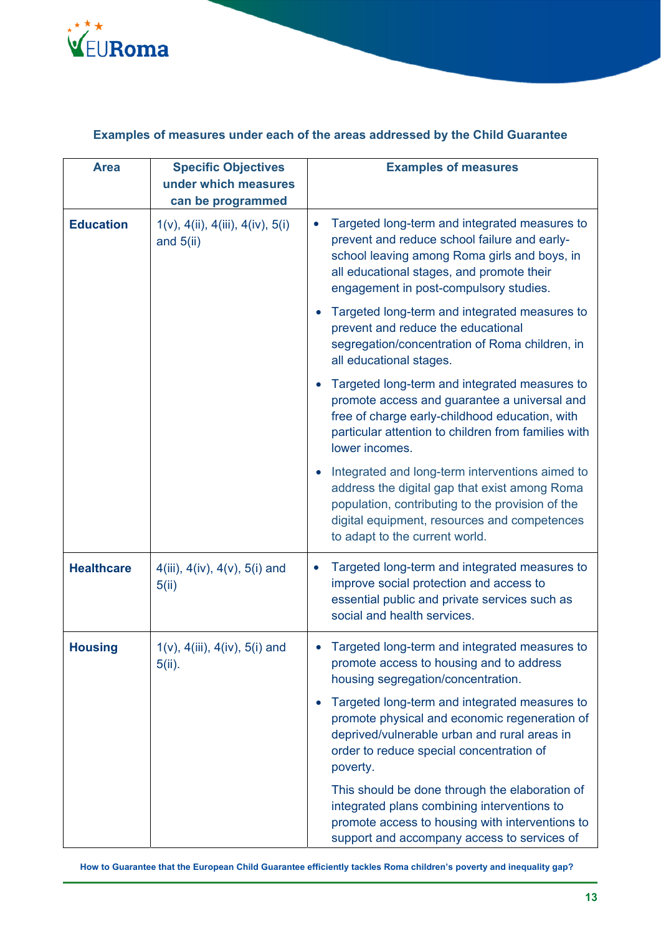

## **Examples of measures under each of the areas addressed by the Child Guarantee**

| <b>Area</b>       | <b>Specific Objectives</b><br>under which measures            | <b>Examples of measures</b>                                                                                                                                                                                                                         |
|-------------------|---------------------------------------------------------------|-----------------------------------------------------------------------------------------------------------------------------------------------------------------------------------------------------------------------------------------------------|
|                   | can be programmed                                             |                                                                                                                                                                                                                                                     |
| <b>Education</b>  | $1(v)$ , $4(ii)$ , $4(iii)$ , $4(iv)$ , $5(i)$<br>and $5(ii)$ | Targeted long-term and integrated measures to<br>$\bullet$<br>prevent and reduce school failure and early-<br>school leaving among Roma girls and boys, in<br>all educational stages, and promote their<br>engagement in post-compulsory studies.   |
|                   |                                                               | Targeted long-term and integrated measures to<br>prevent and reduce the educational<br>segregation/concentration of Roma children, in<br>all educational stages.                                                                                    |
|                   |                                                               | Targeted long-term and integrated measures to<br>promote access and guarantee a universal and<br>free of charge early-childhood education, with<br>particular attention to children from families with<br>lower incomes.                            |
|                   |                                                               | Integrated and long-term interventions aimed to<br>$\bullet$<br>address the digital gap that exist among Roma<br>population, contributing to the provision of the<br>digital equipment, resources and competences<br>to adapt to the current world. |
| <b>Healthcare</b> | 4(iii), $4(iv)$ , $4(v)$ , $5(i)$ and<br>5(ii)                | Targeted long-term and integrated measures to<br>$\bullet$<br>improve social protection and access to<br>essential public and private services such as<br>social and health services.                                                               |
| <b>Housing</b>    | $1(v)$ , $4(iii)$ , $4(iv)$ , $5(i)$ and<br>$5(ii)$ .         | Targeted long-term and integrated measures to<br>promote access to housing and to address<br>housing segregation/concentration.                                                                                                                     |
|                   |                                                               | Targeted long-term and integrated measures to<br>promote physical and economic regeneration of<br>deprived/vulnerable urban and rural areas in<br>order to reduce special concentration of<br>poverty.                                              |
|                   |                                                               | This should be done through the elaboration of<br>integrated plans combining interventions to<br>promote access to housing with interventions to<br>support and accompany access to services of                                                     |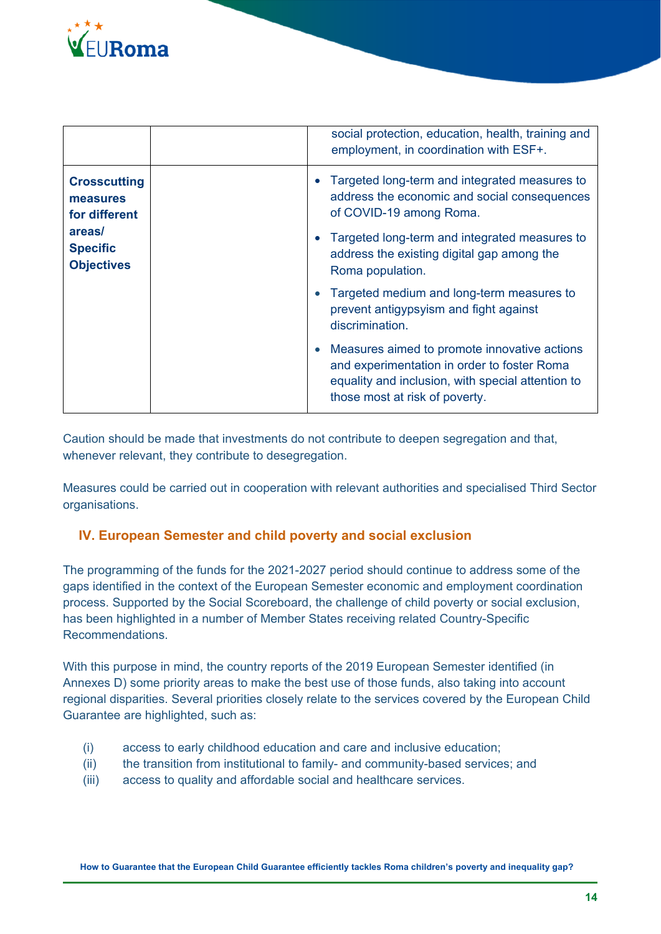

|                                                                                                    |  |                                                                                                                          | social protection, education, health, training and<br>employment, in coordination with ESF+.                                                                                       |
|----------------------------------------------------------------------------------------------------|--|--------------------------------------------------------------------------------------------------------------------------|------------------------------------------------------------------------------------------------------------------------------------------------------------------------------------|
| <b>Crosscutting</b><br>measures<br>for different<br>areas/<br><b>Specific</b><br><b>Objectives</b> |  | Targeted long-term and integrated measures to<br>address the economic and social consequences<br>of COVID-19 among Roma. |                                                                                                                                                                                    |
|                                                                                                    |  | Targeted long-term and integrated measures to<br>address the existing digital gap among the<br>Roma population.          |                                                                                                                                                                                    |
|                                                                                                    |  |                                                                                                                          | Targeted medium and long-term measures to<br>prevent antigypsyism and fight against<br>discrimination.                                                                             |
|                                                                                                    |  | $\bullet$                                                                                                                | Measures aimed to promote innovative actions<br>and experimentation in order to foster Roma<br>equality and inclusion, with special attention to<br>those most at risk of poverty. |

Caution should be made that investments do not contribute to deepen segregation and that, whenever relevant, they contribute to desegregation.

Measures could be carried out in cooperation with relevant authorities and specialised Third Sector organisations.

## **IV. European Semester and child poverty and social exclusion**

The programming of the funds for the 2021-2027 period should continue to address some of the gaps identified in the context of the European Semester economic and employment coordination process. Supported by the Social Scoreboard, the challenge of child poverty or social exclusion, has been highlighted in a number of Member States receiving related Country-Specific Recommendations.

With this purpose in mind, the country reports of the 2019 European Semester identified (in Annexes D) some priority areas to make the best use of those funds, also taking into account regional disparities. Several priorities closely relate to the services covered by the European Child Guarantee are highlighted, such as:

- (i) access to early childhood education and care and inclusive education;
- (ii) the transition from institutional to family- and community-based services; and
- (iii) access to quality and affordable social and healthcare services.